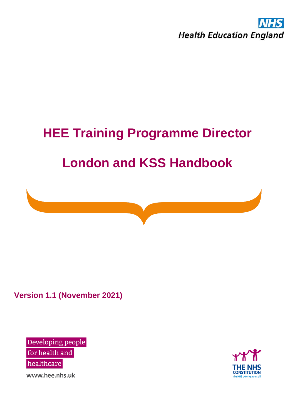

# **HEE Training Programme Director London and KSS Handbook**



**Version 1.1 (November 2021)**

Developing people for health and healthcare

THE I **CONSTITUTION** 

www.hee.nhs.uk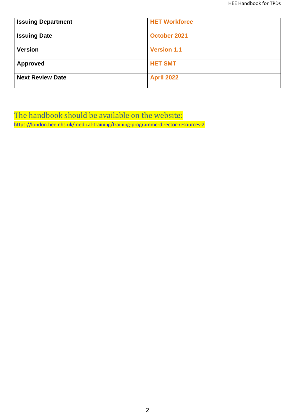| <b>Issuing Department</b> | <b>HET Workforce</b> |
|---------------------------|----------------------|
| <b>Issuing Date</b>       | October 2021         |
| <b>Version</b>            | <b>Version 1.1</b>   |
| <b>Approved</b>           | <b>HET SMT</b>       |
| <b>Next Review Date</b>   | <b>April 2022</b>    |

The handbook should be available on the website: <https://london.hee.nhs.uk/medical-training/training-programme-director-resources-2>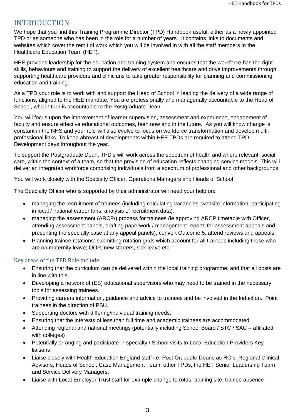## INTRODUCTION

We hope that you find this Training Programme Director (TPD) Handbook useful, either as a newly appointed TPD or as someone who has been in the role for a number of years. It contains links to documents and websites which cover the remit of work which you will be involved in with all the staff members in the Healthcare Education Team (HET).

HEE provides leadership for the education and training system and ensures that the workforce has the right skills, behaviours and training to support the delivery of excellent healthcare and drive improvements through supporting healthcare providers and clinicians to take greater responsibility for planning and commissioning education and training.

As a TPD your role is to work with and support the Head of School in leading the delivery of a wide range of functions, aligned to the HEE mandate. You are professionally and managerially accountable to the Head of School, who in turn is accountable to the Postgraduate Dean.

You will focus upon the improvement of learner supervision, assessment and experience, engagement of faculty and ensure effective educational outcomes, both now and in the future. As you will know change is constant in the NHS and your role will also evolve to focus on workforce transformation and develop multiprofessional links. To keep abreast of developments within HEE TPDs are required to attend TPD Development days throughout the year.

To support the Postgraduate Dean, TPD's will work across the spectrum of health and where relevant, social care, within the context of a team, so that the provision of education reflects changing service models. This will deliver an integrated workforce comprising individuals from a spectrum of professional and other backgrounds.

You will work closely with the Specialty Officer, Operations Managers and Heads of School

The Specialty Officer who is supported by their administrator will need your help on:

- managing the recruitment of trainees (including calculating vacancies, website information, participating in local / national career fairs; analysis of recruitment data).
- managing the assessment (ARCP/) process for trainees (ie approving ARCP timetable with Officer, attending assessment panels, drafting paperwork / management reports for assessment appeals and presenting the specialty case at any appeal panels), convert Outcome 5, attend reviews and appeals.
- Planning trainee rotations: submitting rotation grids which account for all trainees including those who are on maternity leave; OOP, new starters, sick leave etc.

Key areas of the TPD Role include:

- Ensuring that the curriculum can be delivered within the local training programme; and that all posts are in line with this
- Developing a network of (ES) educational supervisors who may need to be trained in the necessary tools for assessing trainees.
- Providing careers information, guidance and advice to trainees and be involved in the Induction. Point trainees in the direction of PSU.
- Supporting doctors with differing/individual training needs;
- Ensuring that the interests of less than full time and academic trainees are accommodated
- Attending regional and national meetings (potentially including School Board / STC / SAC affiliated with colleges)
- Potentially arranging and participate in specialty / School visits to Local Education Providers Key liaisons
- Liaise closely with Health Education England staff i.e. Post Graduate Deans as RO's, Regional Clinical Advisors, Heads of School, Case Management Team, other TPDs, the HET Senior Leadership Team and Service Delivery Managers.
- Liaise with Local Employer Trust staff for example change to rotas, training site, trainee absence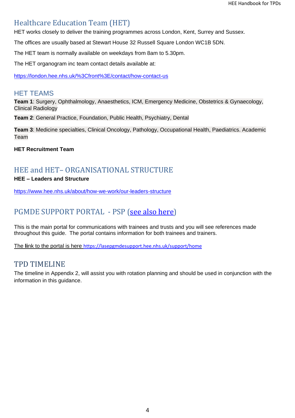# Healthcare Education Team (HET)

HET works closely to deliver the training programmes across London, Kent, Surrey and Sussex.

The offices are usually based at Stewart House 32 Russell Square London WC1B 5DN.

The HET team is normally available on weekdays from 8am to 5.30pm.

The HET organogram inc team contact details available at:

<https://london.hee.nhs.uk/%3Cfront%3E/contact/how-contact-us>

## HET TEAMS

**Team 1**: Surgery, Ophthalmology, Anaesthetics, ICM, Emergency Medicine, Obstetrics & Gynaecology, Clinical Radiology

**Team 2**: General Practice, Foundation, Public Health, Psychiatry, Dental

**Team 3**: Medicine specialties, Clinical Oncology, Pathology, Occupational Health, Paediatrics. Academic Team

**HET Recruitment Team**

# HEE and HET– ORGANISATIONAL STRUCTURE

## **HEE – Leaders and Structure**

<https://www.hee.nhs.uk/about/how-we-work/our-leaders-structure>

# PGMDE SUPPORT PORTAL - PSP [\(see also here\)](#page-13-0)

This is the main portal for communications with trainees and trusts and you will see references made throughout this guide. The portal contains information for both trainees and trainers.

The **li**nk to the portal is here [https://lasepgmdesupport.hee.nhs.uk/support/home](https://protect-eu.mimecast.com/s/JsSsCngjQsmq9PwSmAn2y?domain=lasepgmdesupport.hee.nhs.uk)

## TPD TIMELINE

The timeline in Appendix 2, will assist you with rotation planning and should be used in conjunction with the information in this guidance.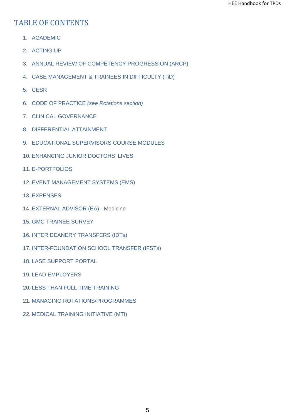# TABLE OF CONTENTS

- 1. ACADEMIC
- 2. ACTING UP
- 3. ANNUAL REVIEW OF COMPETENCY PROGRESSION (ARCP)
- 4. CASE MANAGEMENT & TRAINEES IN DIFFICULTY (TiD)
- 5. CESR
- 6. CODE OF PRACTICE *(see Rotations section)*
- 7. CLINICAL GOVERNANCE
- 8. DIFFERENTIAL ATTAINMENT
- 9. EDUCATIONAL SUPERVISORS COURSE MODULES
- 10. ENHANCING JUNIOR DOCTORS' LIVES
- 11. E-PORTFOLIOS
- 12. EVENT MANAGEMENT SYSTEMS (EMS)
- 13. EXPENSES
- 14. EXTERNAL ADVISOR (EA) Medicine
- 15. GMC TRAINEE SURVEY
- 16. INTER DEANERY TRANSFERS (IDTs)
- 17. INTER-FOUNDATION SCHOOL TRANSFER (IFSTs)
- 18. LASE SUPPORT PORTAL
- 19. LEAD EMPLOYERS
- 20. LESS THAN FULL TIME TRAINING
- 21. MANAGING ROTATIONS/PROGRAMMES
- 22. MEDICAL TRAINING INITIATIVE (MTI)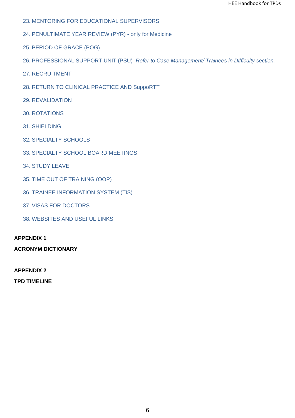- 23. MENTORING FOR EDUCATIONAL SUPERVISORS
- 24. PENULTIMATE YEAR REVIEW (PYR) only for Medicine
- 25. PERIOD OF GRACE (POG)
- 26. PROFESSIONAL SUPPORT UNIT (PSU) *Refer to Case Management/ Trainees in Difficulty section.*
- 27. RECRUITMENT
- 28. RETURN TO CLINICAL PRACTICE AND SuppoRTT
- 29. REVALIDATION
- 30. ROTATIONS
- 31. SHIELDING
- 32. SPECIALTY SCHOOLS
- 33. SPECIALTY SCHOOL BOARD MEETINGS
- 34. STUDY LEAVE
- 35. TIME OUT OF TRAINING (OOP)
- 36. TRAINEE INFORMATION SYSTEM (TIS)
- 37. VISAS FOR DOCTORS
- 38. WEBSITES AND USEFUL LINKS

## **APPENDIX 1**

**ACRONYM DICTIONARY**

#### **APPENDIX 2**

**TPD TIMELINE**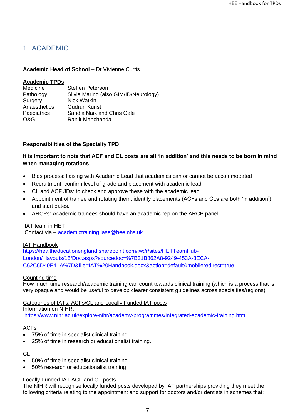## 1. ACADEMIC

#### **Academic Head of School** – Dr Vivienne Curtis

#### **Academic TPDs**

| Medicine     | <b>Steffen Peterson</b>               |
|--------------|---------------------------------------|
| Pathology    | Silvia Marino (also GIM/ID/Neurology) |
| Surgery      | <b>Nick Watkin</b>                    |
| Anaesthetics | <b>Gudrun Kunst</b>                   |
| Paediatrics  | Sandia Naik and Chris Gale            |
| O&G          | Ranjit Manchanda                      |

## **Responsibilities of the Specialty TPD**

## **It is important to note that ACF and CL posts are all 'in addition' and this needs to be born in mind when managing rotations**

- Bids process: liaising with Academic Lead that academics can or cannot be accommodated
- Recruitment: confirm level of grade and placement with academic lead
- CL and ACF JDs: to check and approve these with the academic lead
- Appointment of trainee and rotating them: identify placements (ACFs and CLs are both 'in addition') and start dates.
- ARCPs: Academic trainees should have an academic rep on the ARCP panel

#### IAT team in HET

Contact via – [academictraining.lase@hee.nhs.uk](mailto:academictraining@southlondon.hee.nhs.uk)

#### IAT Handbook

[https://healtheducationengland.sharepoint.com/:w:/r/sites/HETTeamHub-](https://healtheducationengland.sharepoint.com/:w:/r/sites/HETTeamHub-London/_layouts/15/Doc.aspx?sourcedoc=%7B31B862A8-9249-453A-8ECA-C62C6D40E41A%7D&file=IAT%20Handbook.docx&action=default&mobileredirect=true)[London/\\_layouts/15/Doc.aspx?sourcedoc=%7B31B862A8-9249-453A-8ECA-](https://healtheducationengland.sharepoint.com/:w:/r/sites/HETTeamHub-London/_layouts/15/Doc.aspx?sourcedoc=%7B31B862A8-9249-453A-8ECA-C62C6D40E41A%7D&file=IAT%20Handbook.docx&action=default&mobileredirect=true)[C62C6D40E41A%7D&file=IAT%20Handbook.docx&action=default&mobileredirect=true](https://healtheducationengland.sharepoint.com/:w:/r/sites/HETTeamHub-London/_layouts/15/Doc.aspx?sourcedoc=%7B31B862A8-9249-453A-8ECA-C62C6D40E41A%7D&file=IAT%20Handbook.docx&action=default&mobileredirect=true)

#### Counting time

How much time research/academic training can count towards clinical training (which is a process that is very opaque and would be useful to develop clearer consistent guidelines across specialties/regions)

Categories of IATs: ACFs/CL and Locally Funded IAT posts

Information on NIHR:

<https://www.nihr.ac.uk/explore-nihr/academy-programmes/integrated-academic-training.htm>

#### ACFs

- 75% of time in specialist clinical training
- 25% of time in research or educationalist training.

#### CL

- 50% of time in specialist clinical training
- 50% research or educationalist training.

Locally Funded IAT ACF and CL posts

The NIHR will recognise locally funded posts developed by IAT partnerships providing they meet the following criteria relating to the appointment and support for doctors and/or dentists in schemes that: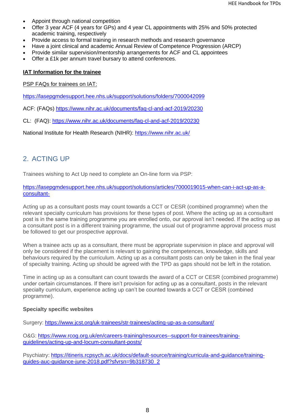- Appoint through national competition
- Offer 3 year ACF (4 years for GPs) and 4 year CL appointments with 25% and 50% protected academic training, respectively
- Provide access to formal training in research methods and research governance
- Have a joint clinical and academic Annual Review of Competence Progression (ARCP)
- Provide similar supervision/mentorship arrangements for ACF and CL appointees
- Offer a £1k per annum travel bursary to attend conferences.

#### **IAT Information for the trainee**

PSP FAQs for trainees on IAT:

<https://lasepgmdesupport.hee.nhs.uk/support/solutions/folders/7000042099>

ACF: (FAQs)<https://www.nihr.ac.uk/documents/faq-cl-and-acf-2019/20230>

CL: (FAQ):<https://www.nihr.ac.uk/documents/faq-cl-and-acf-2019/20230>

National Institute for Health Research (NIHR):<https://www.nihr.ac.uk/>

## 2. ACTING UP

Trainees wishing to Act Up need to complete an On-line form via PSP:

[https://lasepgmdesupport.hee.nhs.uk/support/solutions/articles/7000019015-when-can-i-act-up-as-a](https://lasepgmdesupport.hee.nhs.uk/support/solutions/articles/7000019015-when-can-i-act-up-as-a-consultant-)[consultant-](https://lasepgmdesupport.hee.nhs.uk/support/solutions/articles/7000019015-when-can-i-act-up-as-a-consultant-)

Acting up as a consultant posts may count towards a CCT or CESR (combined programme) when the relevant specialty curriculum has provisions for these types of post. Where the acting up as a consultant post is in the same training programme you are enrolled onto, our approval isn't needed. If the acting up as a consultant post is in a different training programme, the usual out of programme approval process must be followed to get our prospective approval.

When a trainee acts up as a consultant, there must be appropriate supervision in place and approval will only be considered if the placement is relevant to gaining the competences, knowledge, skills and behaviours required by the curriculum. Acting up as a consultant posts can only be taken in the final year of specialty training. Acting up should be agreed with the TPD as gaps should not be left in the rotation.

Time in acting up as a consultant can count towards the award of a CCT or CESR (combined programme) under certain circumstances. If there isn't provision for acting up as a consultant, posts in the relevant specialty curriculum, experience acting up can't be counted towards a CCT or CESR (combined programme).

#### **Specialty specific websites**

Surgery:<https://www.jcst.org/uk-trainees/str-trainees/acting-up-as-a-consultant/>

O&G: [https://www.rcog.org.uk/en/careers-training/resources--support-for-trainees/training](https://www.rcog.org.uk/en/careers-training/resources--support-for-trainees/training-guidelines/acting-up-and-locum-consultant-posts/)[guidelines/acting-up-and-locum-consultant-posts/](https://www.rcog.org.uk/en/careers-training/resources--support-for-trainees/training-guidelines/acting-up-and-locum-consultant-posts/)

Psychiatry: [https://itineris.rcpsych.ac.uk/docs/default-source/training/curricula-and-guidance/training](https://itineris.rcpsych.ac.uk/docs/default-source/training/curricula-and-guidance/training-guides-auc-guidance-june-2018.pdf?sfvrsn=9b318730_2)[guides-auc-guidance-june-2018.pdf?sfvrsn=9b318730\\_2](https://itineris.rcpsych.ac.uk/docs/default-source/training/curricula-and-guidance/training-guides-auc-guidance-june-2018.pdf?sfvrsn=9b318730_2)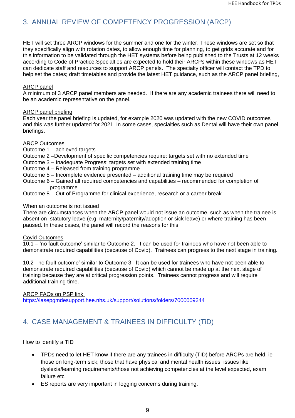## 3. ANNUAL REVIEW OF COMPETENCY PROGRESSION (ARCP)

HET will set three ARCP windows for the summer and one for the winter. These windows are set so that they specifically align with rotation dates, to allow enough time for planning, to get grids accurate and for this information to be validated through the HET systems before being published to the Trusts at 12 weeks according to Code of Practice.Specialties are expected to hold their ARCPs within these windows as HET can dedicate staff and resources to support ARCP panels. The specialty officer will contact the TPD to help set the dates; draft timetables and provide the latest HET guidance, such as the ARCP panel briefing,

#### ARCP panel

A minimum of 3 ARCP panel members are needed. If there are any academic trainees there will need to be an academic representative on the panel.

#### ARCP panel briefing

Each year the panel briefing is updated, for example 2020 was updated with the new COVID outcomes and this was further updated for 2021 In some cases, specialties such as Dental will have their own panel briefings.

#### ARCP Outcomes

Outcome 1 – achieved targets

- Outcome 2 –Development of specific competencies require: targets set with no extended time
- Outcome 3 Inadequate Progress: targets set with extended training time
- Outcome 4 Released from training programme
- Outcome 5 Incomplete evidence presented additional training time may be required
- Outcome 6 Gained all required competencies and capabilities recommended for completion of programme
- Outcome 8 Out of Programme for clinical experience, research or a career break

#### When an outcome is not issued

There are circumstances when the ARCP panel would not issue an outcome, such as when the trainee is absent on statutory leave (e.g. maternity/paternity/adoption or sick leave) or where training has been paused. In these cases, the panel will record the reasons for this

#### Covid Outcomes

10.1 – 'no fault outcome' similar to Outcome 2. It can be used for trainees who have not been able to demonstrate required capabilities (because of Covid). Trainees can progress to the next stage in training.

10.2 - no fault outcome' similar to Outcome 3. It can be used for trainees who have not been able to demonstrate required capabilities (because of Covid) which cannot be made up at the next stage of training because they are at critical progression points. Trainees cannot progress and will require additional training time.

ARCP FAQs on PSP link: <https://lasepgmdesupport.hee.nhs.uk/support/solutions/folders/7000009244>

## <span id="page-8-0"></span>4. CASE MANAGEMENT & TRAINEES IN DIFFICULTY (TiD)

#### How to identify a TID

- TPDs need to let HET know if there are any trainees in difficulty (TID) before ARCPs are held, ie those on long-term sick; those that have physical and mental health issues; issues like dyslexia/learning requirements/those not achieving competencies at the level expected, exam failure etc
- ES reports are very important in logging concerns during training.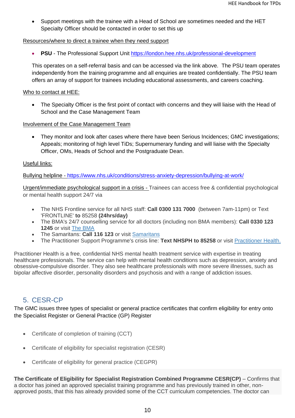• Support meetings with the trainee with a Head of School are sometimes needed and the HET Specialty Officer should be contacted in order to set this up

#### Resources/where to direct a trainee when they need support

• **PSU** - The Professional Support Unit<https://london.hee.nhs.uk/professional-development>

This operates on a self-referral basis and can be accessed via the link above. The PSU team operates independently from the training programme and all enquiries are treated confidentially. The PSU team offers an array of support for trainees including educational assessments, and careers coaching.

#### Who to contact at HEE:

• The Specialty Officer is the first point of contact with concerns and they will liaise with the Head of School and the Case Management Team

#### Involvement of the Case Management Team

• They monitor and look after cases where there have been Serious Incidences; GMC investigations; Appeals; monitoring of high level TiDs; Supernumerary funding and will liaise with the Specialty Officer, OMs, Heads of School and the Postgraduate Dean.

## Useful links:

Bullying helpline - <https://www.nhs.uk/conditions/stress-anxiety-depression/bullying-at-work/>

Urgent/immediate psychological support in a crisis - Trainees can access free & confidential psychological or mental health support 24/7 via

- The NHS Frontline service for all NHS staff: **Call 0300 131 7000** (between 7am-11pm) or Text 'FRONTLINE' **to** 85258 **(24hrs/day)**
- The BMA's 24/7 counselling service for all doctors (including non BMA members): **Call 0330 123 1245** or visit [The BMA](http://www.bma.org.uk/advice-and-support/your-wellbeing/wellbeing-support-services/counselling-and-peer-support-for-doctors-and-medical-students)
- The Samaritans: **Call 116 123** or visit [Samaritans](http://www.samaritans.org/)
- The Practitioner Support Programme's crisis line: **Text NHSPH to 85258** or visit [Practitioner Health.](http://www.practitionerhealth.nhs.uk/)

Practitioner Health is a free, confidential NHS mental health treatment service with expertise in treating healthcare professionals. The service can help with mental health conditions such as depression, anxiety and obsessive-compulsive disorder. They also see healthcare professionals with more severe illnesses, such as bipolar affective disorder, personality disorders and psychosis and with a range of addiction issues.

## 5. CESR-CP

The GMC issues three types of specialist or general practice certificates that confirm eligibility for entry onto the Specialist Register or General Practice (GP) Register

- Certificate of completion of training (CCT)
- Certificate of eligibility for specialist registration (CESR)
- Certificate of eligibility for general practice (CEGPR)

**The Certificate of Eligibility for Specialist Registration Combined Programme CESR(CP)** – Confirms that a doctor has joined an approved specialist training programme and has previously trained in other, nonapproved posts, that this has already provided some of the CCT curriculum competencies. The doctor can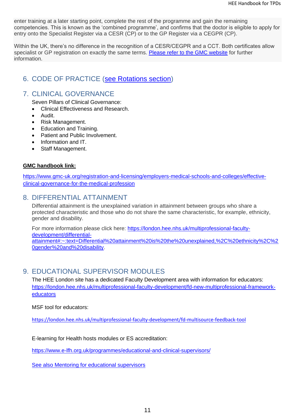enter training at a later starting point, complete the rest of the programme and gain the remaining competencies. This is known as the 'combined programme', and confirms that the doctor is eligible to apply for entry onto the Specialist Register via a CESR (CP) or to the GP Register via a CEGPR (CP).

Within the UK, there's no difference in the recognition of a CESR/CEGPR and a CCT. Both certificates allow specialist or GP registration on exactly the same terms. [Please refer to the GMC website](https://www.gmc-uk.org/registration-and-licensing/managing-your-registration/certificates/specialist-and-general-practice-certificates#%C2%A0) for further information.

## 6. CODE OF PRACTICE [\(see Rotations section\)](#page-18-0)

## 7. CLINICAL GOVERNANCE

Seven Pillars of Clinical Governance:

- Clinical Effectiveness and Research.
- Audit.
- Risk Management.
- Education and Training.
- Patient and Public Involvement.
- Information and IT.
- Staff Management.

## **GMC handbook link:**

[https://www.gmc-uk.org/registration-and-licensing/employers-medical-schools-and-colleges/effective](https://www.gmc-uk.org/registration-and-licensing/employers-medical-schools-and-colleges/effective-clinical-governance-for-the-medical-profession)[clinical-governance-for-the-medical-profession](https://www.gmc-uk.org/registration-and-licensing/employers-medical-schools-and-colleges/effective-clinical-governance-for-the-medical-profession)

## 8. DIFFERENTIAL ATTAINMENT

Differential attainment is the unexplained variation in attainment between groups who share a protected characteristic and those who do not share the same characteristic, for example, ethnicity, gender and disability.

For more information please click here: [https://london.hee.nhs.uk/multiprofessional-faculty](https://london.hee.nhs.uk/multiprofessional-faculty-development/differential-attainment#:~:text=Differential%20attainment%20is%20the%20unexplained,%2C%20ethnicity%2C%20gender%20and%20disability)[development/differential](https://london.hee.nhs.uk/multiprofessional-faculty-development/differential-attainment#:~:text=Differential%20attainment%20is%20the%20unexplained,%2C%20ethnicity%2C%20gender%20and%20disability)[attainment#:~:text=Differential%20attainment%20is%20the%20unexplained,%2C%20ethnicity%2C%2](https://london.hee.nhs.uk/multiprofessional-faculty-development/differential-attainment#:~:text=Differential%20attainment%20is%20the%20unexplained,%2C%20ethnicity%2C%20gender%20and%20disability) [0gender%20and%20disability.](https://london.hee.nhs.uk/multiprofessional-faculty-development/differential-attainment#:~:text=Differential%20attainment%20is%20the%20unexplained,%2C%20ethnicity%2C%20gender%20and%20disability)

## 9. EDUCATIONAL SUPERVISOR MODULES

The HEE London site has a dedicated Faculty Development area with information for educators: [https://london.hee.nhs.uk/multiprofessional-faculty-development/fd-new-multiprofessional-framework](https://london.hee.nhs.uk/multiprofessional-faculty-development/fd-new-multiprofessional-framework-educators)[educators](https://london.hee.nhs.uk/multiprofessional-faculty-development/fd-new-multiprofessional-framework-educators)

MSF tool for educators:

<https://london.hee.nhs.uk/multiprofessional-faculty-development/fd-multisource-feedback-tool>

E-learning for Health hosts modules or ES accreditation:

<https://www.e-lfh.org.uk/programmes/educational-and-clinical-supervisors/>

[See also Mentoring for educational supervisors](#page-15-0)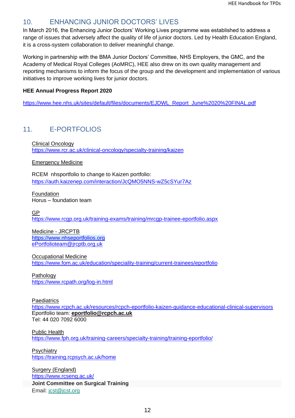## 10. ENHANCING JUNIOR DOCTORS' LIVES

In March 2016, the Enhancing Junior Doctors' Working Lives programme was established to address a range of issues that adversely affect the quality of life of junior doctors. Led by Health Education England, it is a cross-system collaboration to deliver meaningful change.

Working in partnership with the BMA Junior Doctors' Committee, NHS Employers, the GMC, and the Academy of Medical Royal Colleges (AoMRC), HEE also drew on its own quality management and reporting mechanisms to inform the focus of the group and the development and implementation of various initiatives to improve working lives for junior doctors.

## **HEE Annual Progress Report 2020**

[https://www.hee.nhs.uk/sites/default/files/documents/EJDWL\\_Report\\_June%2020%20FINAL.pdf](https://www.hee.nhs.uk/sites/default/files/documents/EJDWL_Report_June%2020%20FINAL.pdf)

## 11. E-PORTFOLIOS

Clinical Oncology <https://www.rcr.ac.uk/clinical-oncology/specialty-training/kaizen>

#### Emergency Medicine

RCEM nhsportfolio to change to Kaizen portfolio: <https://auth.kaizenep.com/interaction/JcQMO5NNS-wZ5cSYur7Az>

**Foundation** Horus – foundation team

GP

<https://www.rcgp.org.uk/training-exams/training/mrcgp-trainee-eportfolio.aspx>

Medicine - JRCPTB [https://www.nhseportfolios.org](https://www.nhseportfolios.org/) [ePortfolioteam@jrcptb.org.uk](mailto:ePortfolioteam@jrcptb.org.uk)

Occupational Medicine <https://www.fom.ac.uk/education/speciality-training/current-trainees/eportfolio>

**Pathology** <https://www.rcpath.org/log-in.html>

**Paediatrics** 

<https://www.rcpch.ac.uk/resources/rcpch-eportfolio-kaizen-guidance-educational-clinical-supervisors> Eportfolio team: **[eportfolio@rcpch.ac.uk](mailto:eportfolio@rcpch.ac.uk)** Tel: 44 020 7092 6000

Public Health <https://www.fph.org.uk/training-careers/specialty-training/training-eportfolio/>

**Psychiatry** <https://training.rcpsych.ac.uk/home>

Surgery (England) <https://www.rcseng.ac.uk/> **Joint Committee on Surgical Training**

Email: [jcst@jcst.org](mailto:jcst@jcst.org)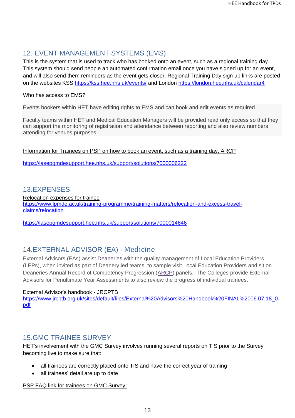## 12. EVENT MANAGEMENT SYSTEMS (EMS)

This is the system that is used to track who has booked onto an event, such as a regional training day. This system should send people an automated confirmation email once you have signed up for an event, and will also send them reminders as the event gets closer. Regional Training Day sign up links are posted on the websites KSS<https://kss.hee.nhs.uk/events/> and London<https://london.hee.nhs.uk/calendar4>

## Who has access to EMS?

Events bookers within HET have editing rights to EMS and can book and edit events as required.

Faculty teams within HET and Medical Education Managers will be provided read only access so that they can support the monitoring of registration and attendance between reporting and also review numbers attending for venues purposes.

Information for Trainees on PSP on how to book an event, such as a training day, ARCP

<https://lasepgmdesupport.hee.nhs.uk/support/solutions/7000006222>

## 13.EXPENSES

Relocation expenses for trainee [https://www.lpmde.ac.uk/training-programme/training-matters/relocation-and-excess-travel](https://www.lpmde.ac.uk/training-programme/training-matters/relocation-and-excess-travel-claims/relocation)[claims/relocation](https://www.lpmde.ac.uk/training-programme/training-matters/relocation-and-excess-travel-claims/relocation)

<https://lasepgmdesupport.hee.nhs.uk/support/solutions/7000014646>

## 14.EXTERNAL ADVISOR (EA) - Medicine

External Advisors (EAs) assist [Deaneries](https://www.jrcptb.org.uk/glossary/9#Deaneries) with the quality management of Local Education Providers (LEPs), when invited as part of Deanery led teams, to sample visit Local Education Providers and sit on Deaneries Annual Record of Competency Progression [\(ARCP\)](https://www.jrcptb.org.uk/glossary/9#ARCP) panels. The Colleges provide External Advisors for Penultimate Year Assessments to also review the progress of individual trainees.

#### External Advisor's handbook - JRCPTB

[https://www.jrcptb.org.uk/sites/default/files/External%20Advisors%20Handbook%20FINAL%2006.07.18\\_0.](https://www.jrcptb.org.uk/sites/default/files/External%20Advisors%20Handbook%20FINAL%2006.07.18_0.pdf) [pdf](https://www.jrcptb.org.uk/sites/default/files/External%20Advisors%20Handbook%20FINAL%2006.07.18_0.pdf)

## 15.GMC TRAINEE SURVEY

HET's involvement with the GMC Survey involves running several reports on TIS prior to the Survey becoming live to make sure that:

- all trainees are correctly placed onto TIS and have the correct year of training
- all trainees' detail are up to date

#### PSP FAQ link for trainees on GMC Survey: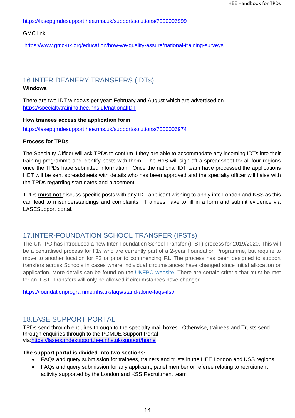<https://lasepgmdesupport.hee.nhs.uk/support/solutions/7000006999>

GMC link:

<https://www.gmc-uk.org/education/how-we-quality-assure/national-training-surveys>

## 16.INTER DEANERY TRANSFERS (IDTs)

## **Windows**

There are two IDT windows per year: February and August which are advertised on <https://specialtytraining.hee.nhs.uk/nationalIDT>

## **How trainees access the application form**

<https://lasepgmdesupport.hee.nhs.uk/support/solutions/7000006974>

## **Process for TPDs**

The Specialty Officer will ask TPDs to confirm if they are able to accommodate any incoming IDTs into their training programme and identify posts with them. The HoS will sign off a spreadsheet for all four regions once the TPDs have submitted information. Once the national IDT team have processed the applications HET will be sent spreadsheets with details who has been approved and the specialty officer will liaise with the TPDs regarding start dates and placement.

TPDs **must not** discuss specific posts with any IDT applicant wishing to apply into London and KSS as this can lead to misunderstandings and complaints. Trainees have to fill in a form and submit evidence via LASESupport portal.

## 17.INTER-FOUNDATION SCHOOL TRANSFER (IFSTs)

The UKFPO has introduced a new Inter-Foundation School Transfer (IFST) process for 2019/2020. This will be a centralised process for F1s who are currently part of a 2-year Foundation Programme, but require to move to another location for F2 or prior to commencing F1. The process has been designed to support transfers across Schools in cases where individual circumstances have changed since initial allocation or application. More details can be found on the [UKFPO website.](https://foundationprogramme.nhs.uk/resources/2-year-foundation-programme-documents/) There are certain criteria that must be met for an IFST. Transfers will only be allowed if circumstances have changed.

<https://foundationprogramme.nhs.uk/faqs/stand-alone-faqs-ifst/>

## <span id="page-13-0"></span>18.LASE SUPPORT PORTAL

TPDs send through enquires through to the specialty mail boxes. Otherwise, trainees and Trusts send through enquiries through to the PGMDE Support Portal via[:https://lasepgmdesupport.hee.nhs.uk/support/home](https://lasepgmdesupport.hee.nhs.uk/support/home)

#### **The support portal is divided into two sections:**

- FAQs and query submission for trainees, trainers and trusts in the HEE London and KSS regions
- FAQs and query submission for any applicant, panel member or referee relating to recruitment activity supported by the London and KSS Recruitment team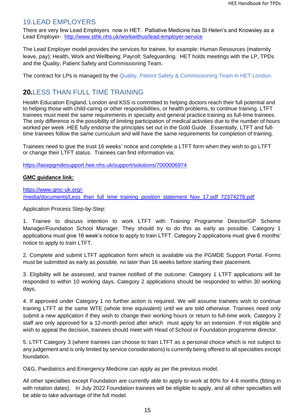## 19.LEAD EMPLOYERS

There are very few Lead Employers now in HET. Palliative Medicine has St Helen's and Knowsley as a Lead Employer- <http://www.sthk.nhs.uk/workwithus/lead-employer-service>

The Lead Employer model provides the services for trainee, for example: Human Resources (maternity leave, pay); Health, Work and Wellbeing; Payroll; Safeguarding. HET holds meetings with the LP, TPDs and the Quality, Patient Safety and Commissioning Team.

The contract for LPs is managed by the Quality, Patient Safety & Commissioning Team in HET London.

## **20.**LESS THAN FULL TIME TRAINING

Health Education England, London and KSS is committed to helping doctors reach their full potential and to helping those with child-caring or other responsibilities, or health problems, to continue training. LTFT trainees must meet the same requirements in specialty and general practice training as full-time trainees. The only difference is the possibility of limiting participation of medical activities due to the number of hours worked per week .HEE fully endorse the principles set out in the Gold Guide. .Essentially, LTFT and fulltime trainees follow the same curriculum and will have the same requirements for completion of training.

Trainees need to give the trust 16 weeks' notice and complete a LTFT form when they wish to go LTFT or change their LTFT status. Trainees can find information via:

<https://lasepgmdesupport.hee.nhs.uk/support/solutions/7000006974>

#### **GMC guidance link:**

[https://www.gmc-uk.org/-](https://www.gmc-uk.org/-/media/documents/Less_than_full_time_training_position_statement_Nov_17.pdf_72374278.pdf) [/media/documents/Less\\_than\\_full\\_time\\_training\\_position\\_statement\\_Nov\\_17.pdf\\_72374278.pdf](https://www.gmc-uk.org/-/media/documents/Less_than_full_time_training_position_statement_Nov_17.pdf_72374278.pdf)

Application Process Step-by-Step:

1. Trainee to discuss intention to work LTFT with Training Programme Director/GP Scheme Manager/Foundation School Manager. They should try to do this as early as possible. Category 1 applications must give 16 week's notice to apply to train LTFT. Category 2 applications must give 6 months' notice to apply to train LTFT.

2. Complete and submit LTFT application form which is available via the PGMDE Support Portal. Forms must be submitted as early as possible, no later than 16 weeks before starting their placement.

3. Eligibility will be assessed, and trainee notified of the outcome: Category 1 LTFT applications will be responded to within 10 working days. Category 2 applications should be responded to within 30 working days.

4. If approved under Category 1 no further action is required. We will assume trainees wish to continue training LTFT at the same WTE (whole time equivalent) until we are told otherwise. Trainees need only submit a new application if they wish to change their working hours or return to full-time work. Category 2 staff are only approved for a 12-month period after which must apply for an extension. If not eligible and wish to appeal the decision, trainees should meet with Head of School or Foundation programme director.

5. LTFT Category 3 (where trainees can choose to train LTFT as a personal choice which is not subject to any judgement and is only limited by service considerations) is currently being offered to all specialties except foundation.

O&G, Paediatrics and Emergency Medicine can apply as per the previous model.

All other specialties except Foundation are currently able to apply to work at 80% for 4-6 months (fitting in with rotation dates). In July 2022 Foundation trainees will be eligible to apply, and all other specialties will be able to take advantage of the full model.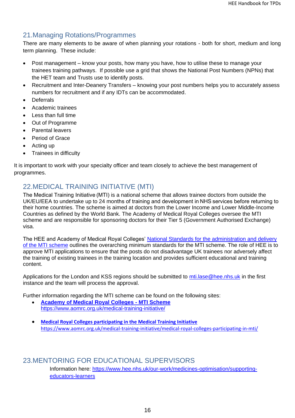## 21.Managing Rotations/Programmes

There are many elements to be aware of when planning your rotations - both for short, medium and long term planning. These include:

- Post management know your posts, how many you have, how to utilise these to manage your trainees training pathways. If possible use a grid that shows the National Post Numbers (NPNs) that the HET team and Trusts use to identify posts.
- Recruitment and Inter-Deanery Transfers knowing your post numbers helps you to accurately assess numbers for recruitment and if any IDTs can be accommodated.
- **Deferrals**
- Academic trainees
- Less than full time
- Out of Programme
- Parental leavers
- Period of Grace
- Acting up
- Trainees in difficulty

It is important to work with your specialty officer and team closely to achieve the best management of programmes.

## 22.MEDICAL TRAINING INITIATIVE (MTI)

The Medical Training Initiative (MTI) is a national scheme that allows trainee doctors from outside the UK/EU/EEA to undertake up to 24 months of training and development in NHS services before returning to their home countries. The scheme is aimed at doctors from the Lower Income and Lower Middle-Income Countries as defined by the World Bank. The Academy of Medical Royal Colleges oversee the MTI scheme and are responsible for sponsoring doctors for their Tier 5 (Government Authorised Exchange) visa.

The HEE and Academy of Medical Royal Colleges' [National Standards for the administration and delivery](https://www.aomrc.org.uk/wp-content/uploads/2018/02/MTI-Standards-Final-February-2018.pdf)  [of the MTI scheme](https://www.aomrc.org.uk/wp-content/uploads/2018/02/MTI-Standards-Final-February-2018.pdf) outlines the overarching minimum standards for the MTI scheme. The role of HEE is to approve MTI applications to ensure that the posts do not disadvantage UK trainees nor adversely affect the training of existing trainees in the training location and provides sufficient educational and training content.

Applications for the London and KSS regions should be submitted to mti. lase @hee.nhs.uk in the first instance and the team will process the approval.

Further information regarding the MTI scheme can be found on the following sites:

- **[Academy of Medical Royal Colleges -](https://www.aomrc.org.uk/medical-training-initiative/) MTI Scheme** <https://www.aomrc.org.uk/medical-training-initiative/>
- **[Medical Royal Colleges participating in the Medical Training Initiative](https://www.aomrc.org.uk/medical-training-initiative/medical-royal-colleges-participating-in-mti/)** <https://www.aomrc.org.uk/medical-training-initiative/medical-royal-colleges-participating-in-mti/>

## <span id="page-15-0"></span>23.MENTORING FOR EDUCATIONAL SUPERVISORS

Information here: [https://www.hee.nhs.uk/our-work/medicines-optimisation/supporting](https://www.hee.nhs.uk/our-work/medicines-optimisation/supporting-educators-learners)[educators-learners](https://www.hee.nhs.uk/our-work/medicines-optimisation/supporting-educators-learners)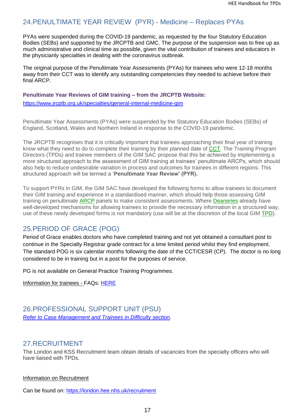## 24.PENULTIMATE YEAR REVIEW (PYR) - Medicine – Replaces PYAs

PYAs were suspended during the COVID-19 pandemic, as requested by the four Statutory Education Bodies (SEBs) and supported by the JRCPTB and GMC. The purpose of the suspension was to free up as much administrative and clinical time as possible, given the vital contribution of trainees and educators in the physicianly specialties in dealing with the coronavirus outbreak.

The original purpose of the Penultimate Year Assessments (PYAs) for trainees who were 12-18 months away from their CCT was to identify any outstanding competencies they needed to achieve before their final ARCP.

**Penultimate Year Reviews of GIM training – from the JRCPTB Website:** 

<https://www.jrcptb.org.uk/specialties/general-internal-medicine-gim>

Penultimate Year Assessments (PYAs) were suspended by the Statutory Education Bodies (SEBs) of England, Scotland, Wales and Northern Ireland in response to the COVID-19 pandemic.

The JRCPTB recognises that it is critically important that trainees approaching their final year of training know what they need to do to complete their training by their planned date of [CCT.](https://www.jrcptb.org.uk/glossary/9#CCT) The Training Program Directors (TPDs) and trainee members of the GIM SAC propose that this be achieved by implementing a more structured approach to the assessment of GIM training at trainees' penultimate ARCPs, which should also help to reduce undesirable variation in process and outcomes for trainees in different regions. This structured approach will be termed a '**Penultimate Year Review' (PYR).**

To support PYRs in GIM, the GIM SAC have developed the following forms to allow trainees to document their GIM training and experience in a standardised manner, which should help those assessing GIM training on penultimate [ARCP](https://www.jrcptb.org.uk/glossary/9#ARCP) panels to make consistent assessments. Where [Deaneries](https://www.jrcptb.org.uk/glossary/9#Deaneries) already have well-developed mechanisms for allowing trainees to provide the necessary information in a structured way, use of these newly developed forms is not mandatory (use will be at the discretion of the local GIM [TPD\)](https://www.jrcptb.org.uk/glossary/9#TPD).

## 25.PERIOD OF GRACE (POG)

Period of Grace enables doctors who have completed training and not yet obtained a consultant post to continue in the Specialty Registrar grade contract for a time limited period whilst they find employment. The standard POG is six calendar months following the date of the CCT/CESR (CP). The doctor is no long considered to be in training but in a post for the purposes of service.

PG is not available on General Practice Training Programmes.

Information for trainees - FAQs: [HERE](https://lasepgmdesupport.hee.nhs.uk/support/solutions/folders/7000009263)

## 26.PROFESSIONAL SUPPORT UNIT (PSU) *[Refer to Case Management and Trainees in Difficulty](#page-8-0) section.*

## 27.RECRUITMENT

The London and KSS Recruitment team obtain details of vacancies from the specialty officers who will have liaised with TPDs.

Information on Recruitment

Can be found on:<https://london.hee.nhs.uk/recruitment>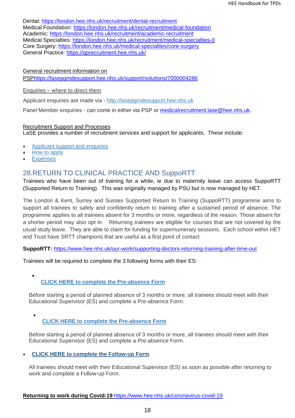Dental:<https://london.hee.nhs.uk/recruitment/dental-recruitment> Medical Foundation:<https://london.hee.nhs.uk/recruitment/medical-foundation> Academic:<https://london.hee.nhs.uk/recruitment/academic-recruitment> Medical Specialties:<https://london.hee.nhs.uk/recruitment/medical-specialties-0> Core Surgery:<https://london.hee.nhs.uk/medical-specialties/core-surgery> General Practice:<https://gprecruitment.hee.nhs.uk/>

General recruitment information on

PS[Phttps://lasepgmdesupport.hee.nhs.uk/support/solutions/7000004286](https://lasepgmdesupport.hee.nhs.uk/support/solutions/7000004286)

#### Enquiries – where to direct them

Applicant enquiries are made via - [http://lasepgmdesupport.hee.nhs.uk](http://lasepgmdesupport.hee.nhs.uk/)

Panel Member enquiries - can come in either via PSP or [medicalrecruitment.lase@hee.nhs.uk.](mailto:medicalrecruitment.lase@hee.nhs.uk)

## Recruitment Support and Processes

LaSE provides a number of recruitment services and support for applicants. These include:

- [Applicant support and enquiries](https://london.hee.nhs.uk/recruitment/applicant-support-and-enquiries)
- [How to apply](https://london.hee.nhs.uk/recruitment/how-apply)
- **[Expenses](https://london.hee.nhs.uk/recruitment/expenses)**

## 28.RETURN TO CLINICAL PRACTICE AND SuppoRTT

Trainees who have been out of training for a while, ie due to maternity leave can access SuppoRTT (Supported Return to Training). This was originally managed by PSU but is now managed by HET.

The London & Kent, Surrey and Sussex Supported Return to Training (SuppoRTT) programme aims to support all trainees to safely and confidently return to training after a sustained period of absence. The programme applies to all trainees absent for 3 months or more, regardless of the reason. Those absent for a shorter period may also opt in. Returning trainees are eligible for courses that are not covered by the usual study leave. They are able to claim for funding for supernumerary sessions. Each school within HET and Trust have SRTT champions that are useful as a first point of contact

**SuppoRTT:** <https://www.hee.nhs.uk/our-work/supporting-doctors-returning-training-after-time-out>

Trainees will be required to complete the 3 following forms with their ES:

#### • **[CLICK HERE to complete the Pre-absence Form](https://healtheducationyh.onlinesurveys.ac.uk/supportt-preabsence-form2)**

Before starting a period of planned absence of 3 months or more, all trainees should meet with their Educational Supervisor (ES) and complete a Pre-absence Form.

#### • **[CLICK HERE to complete the Pre-absence Form](https://healtheducationyh.onlinesurveys.ac.uk/supportt-preabsence-form2)**

Before starting a period of planned absence of 3 months or more, all trainees should meet with their Educational Supervisor (ES) and complete a Pre-absence Form.

## • **[CLICK HERE to complete the Follow-up Form](https://healtheducationyh.onlinesurveys.ac.uk/supportt-rtw-form2)**

All trainees should meet with their Educational Supervisor (ES) as soon as possible after returning to work and complete a Follow-up Form.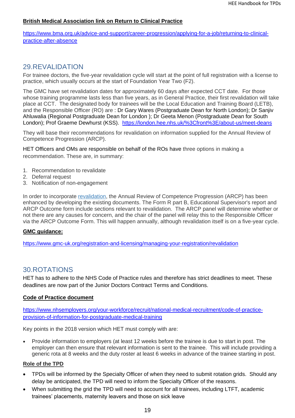#### **British Medical Association link on Return to Clinical Practice**

[https://www.bma.org.uk/advice-and-support/career-progression/applying-for-a-job/returning-to-clinical](https://www.bma.org.uk/advice-and-support/career-progression/applying-for-a-job/returning-to-clinical-practice-after-absence)[practice-after-absence](https://www.bma.org.uk/advice-and-support/career-progression/applying-for-a-job/returning-to-clinical-practice-after-absence)

## 29.REVALIDATION

For trainee doctors, the five-year revalidation cycle will start at the point of full registration with a license to practice, which usually occurs at the start of Foundation Year Two (F2).

The GMC have set revalidation dates for approximately 60 days after expected CCT date. For those whose training programme lasts less than five years, as in General Practice, their first revalidation will take place at CCT. The designated body for trainees will be the Local Education and Training Board (LETB), and the Responsible Officer (RO) are : Dr Gary Wares (Postgraduate Dean for North London); Dr Sanjiv Ahluwalia (Regional Postgraduate Dean for London ); Dr Geeta Menon (Postgraduate Dean for South London); Prof Graeme Dewhurst (KSS). <https://london.hee.nhs.uk/%3Cfront%3E/about-us/meet-deans>

They will base their recommendations for revalidation on information supplied for the Annual Review of Competence Progression (ARCP).

HET Officers and OMs are responsible on behalf of the ROs have three options in making a recommendation. These are, in summary:

- 1. Recommendation to revalidate
- 2. Deferral request
- 3. Notification of non-engagement

In order to incorporate [revalidation,](http://www.gmc-uk.org/doctors/revalidation.asp) the Annual Review of Competence Progression (ARCP) has been enhanced by developing the existing documents. The Form R part B, Educational Supervisor's report and ARCP Outcome form include sections relevant to revalidation. The ARCP panel will determine whether or not there are any causes for concern, and the chair of the panel will relay this to the Responsible Officer via the ARCP Outcome Form. This will happen annually, although revalidation itself is on a five-year cycle.

#### **GMC guidance:**

<https://www.gmc-uk.org/registration-and-licensing/managing-your-registration/revalidation>

## <span id="page-18-0"></span>30.ROTATIONS

HET has to adhere to the NHS Code of Practice rules and therefore has strict deadlines to meet. These deadlines are now part of the Junior Doctors Contract Terms and Conditions.

#### **Code of Practice document**

[https://www.nhsemployers.org/your-workforce/recruit/national-medical-recruitment/code-of-practice](https://www.nhsemployers.org/your-workforce/recruit/national-medical-recruitment/code-of-practice-provision-of-information-for-postgraduate-medical-training)[provision-of-information-for-postgraduate-medical-training](https://www.nhsemployers.org/your-workforce/recruit/national-medical-recruitment/code-of-practice-provision-of-information-for-postgraduate-medical-training)

Key points in the 2018 version which HET must comply with are:

• Provide information to employers (at least 12 weeks before the trainee is due to start in post. The employer can then ensure that relevant information is sent to the trainee. This will include providing a generic rota at 8 weeks and the duty roster at least 6 weeks in advance of the trainee starting in post.

#### **Role of the TPD**

- TPDs will be informed by the Specialty Officer of when they need to submit rotation grids. Should any delay be anticipated, the TPD will need to inform the Specialty Officer of the reasons.
- When submitting the grid the TPD will need to account for all trainees, including LTFT, academic trainees' placements, maternity leavers and those on sick leave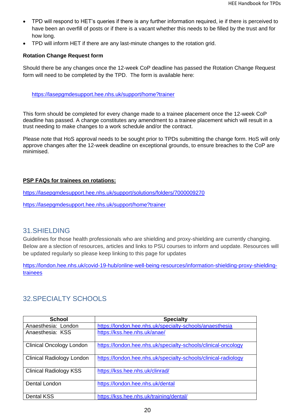- TPD will respond to HET's queries if there is any further information required, ie if there is perceived to have been an overfill of posts or if there is a vacant whether this needs to be filled by the trust and for how long.
- TPD will inform HET if there are any last-minute changes to the rotation grid.

## **Rotation Change Request form**

Should there be any changes once the 12-week CoP deadline has passed the Rotation Change Request form will need to be completed by the TPD. The form is available here:

<https://lasepgmdesupport.hee.nhs.uk/support/home?trainer>

This form should be completed for every change made to a trainee placement once the 12-week CoP deadline has passed. A change constitutes any amendment to a trainee placement which will result in a trust needing to make changes to a work schedule and/or the contract.

Please note that HoS approval needs to be sought prior to TPDs submitting the change form. HoS will only approve changes after the 12-week deadline on exceptional grounds, to ensure breaches to the CoP are minimised.

## **PSP FAQs for trainees on rotations:**

<https://lasepgmdesupport.hee.nhs.uk/support/solutions/folders/7000009270>

<https://lasepgmdesupport.hee.nhs.uk/support/home?trainer>

## 31.SHIELDING

Guidelines for those health professionals who are shielding and proxy-shielding are currently changing. Below are a slection of resources, articles and links to PSU courses to inform and uopdate. Resources will be updated regularly so please keep linking to this page for updates

[https://london.hee.nhs.uk/covid-19-hub/online-well-being-resources/information-shielding-proxy-shielding](https://london.hee.nhs.uk/covid-19-hub/online-well-being-resources/information-shielding-proxy-shielding-trainees)[trainees](https://london.hee.nhs.uk/covid-19-hub/online-well-being-resources/information-shielding-proxy-shielding-trainees)

## 32.SPECIALTY SCHOOLS

| <b>School</b>                    | <b>Specialty</b>                                               |
|----------------------------------|----------------------------------------------------------------|
| Anaesthesia: London              | https://london.hee.nhs.uk/specialty-schools/anaesthesia        |
| Anaesthesia: KSS                 | https://kss.hee.nhs.uk/anae/                                   |
| <b>Clinical Oncology London</b>  | https://london.hee.nhs.uk/specialty-schools/clinical-oncology  |
| <b>Clinical Radiology London</b> | https://london.hee.nhs.uk/specialty-schools/clinical-radiology |
| <b>Clinical Radiology KSS</b>    | https://kss.hee.nhs.uk/clinrad/                                |
| Dental London                    | https://london.hee.nhs.uk/dental                               |
| <b>Dental KSS</b>                | https://kss.hee.nhs.uk/training/dental/                        |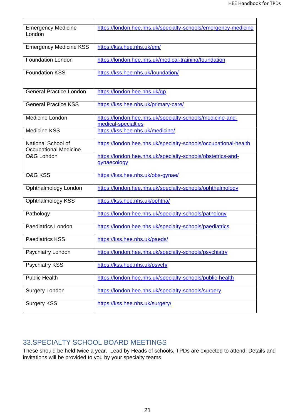| <b>Emergency Medicine</b><br>London         | https://london.hee.nhs.uk/specialty-schools/emergency-medicine                   |
|---------------------------------------------|----------------------------------------------------------------------------------|
| <b>Emergency Medicine KSS</b>               | https://kss.hee.nhs.uk/em/                                                       |
| <b>Foundation London</b>                    | https://london.hee.nhs.uk/medical-training/foundation                            |
| <b>Foundation KSS</b>                       | https://kss.hee.nhs.uk/foundation/                                               |
| <b>General Practice London</b>              | https://london.hee.nhs.uk/qp                                                     |
| <b>General Practice KSS</b>                 | https://kss.hee.nhs.uk/primary-care/                                             |
| Medicine London                             | https://london.hee.nhs.uk/specialty-schools/medicine-and-<br>medical-specialties |
| <b>Medicine KSS</b>                         | https://kss.hee.nhs.uk/medicine/                                                 |
| National School of<br>Occupational Medicine | https://london.hee.nhs.uk/specialty-schools/occupational-health                  |
| O&G London                                  | https://london.hee.nhs.uk/specialty-schools/obstetrics-and-<br>qynaecology       |
| <b>O&amp;G KSS</b>                          | https://kss.hee.nhs.uk/obs-gynae/                                                |
| Ophthalmology London                        | https://london.hee.nhs.uk/specialty-schools/ophthalmology                        |
| <b>Ophthalmology KSS</b>                    | https://kss.hee.nhs.uk/ophtha/                                                   |
| Pathology                                   | https://london.hee.nhs.uk/specialty-schools/pathology                            |
| <b>Paediatrics London</b>                   | https://london.hee.nhs.uk/specialty-schools/paediatrics                          |
| <b>Paediatrics KSS</b>                      | https://kss.hee.nhs.uk/paeds/                                                    |
| Psychiatry London                           | https://london.hee.nhs.uk/specialty-schools/psychiatry                           |
| <b>Psychiatry KSS</b>                       | https://kss.hee.nhs.uk/psych/                                                    |
|                                             |                                                                                  |
| <b>Public Health</b>                        | https://london.hee.nhs.uk/specialty-schools/public-health                        |
| Surgery London                              | https://london.hee.nhs.uk/specialty-schools/surgery                              |

## 33.SPECIALTY SCHOOL BOARD MEETINGS

These should be held twice a year. Lead by Heads of schools, TPDs are expected to attend. Details and invitations will be provided to you by your specialty teams.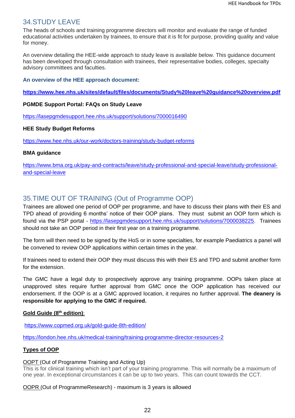## 34.STUDY LEAVE

The heads of schools and training programme directors will monitor and evaluate the range of funded educational activities undertaken by trainees, to ensure that it is fit for purpose, providing quality and value for money.

An overview detailing the HEE-wide approach to study leave is available below. This guidance document has been developed through consultation with trainees, their representative bodies, colleges, specialty advisory committees and faculties.

**An overview of the HEE approach document:**

**<https://www.hee.nhs.uk/sites/default/files/documents/Study%20leave%20guidance%20overview.pdf>**

#### **PGMDE Support Portal: FAQs on Study Leave**

<https://lasepgmdesupport.hee.nhs.uk/support/solutions/7000016490>

#### **HEE Study Budget Reforms**

<https://www.hee.nhs.uk/our-work/doctors-training/study-budget-reforms>

#### **BMA guidance**

[https://www.bma.org.uk/pay-and-contracts/leave/study-professional-and-special-leave/study-professional](https://www.bma.org.uk/pay-and-contracts/leave/study-professional-and-special-leave/study-professional-and-special-leave)[and-special-leave](https://www.bma.org.uk/pay-and-contracts/leave/study-professional-and-special-leave/study-professional-and-special-leave)

## 35.TIME OUT OF TRAINING (Out of Programme OOP)

Trainees are allowed one period of OOP per programme, and have to discuss their plans with their ES and TPD ahead of providing 6 months' notice of their OOP plans. They must submit an OOP form which is found via the PSP portal - [https://lasepgmdesupport.hee.nhs.uk/support/solutions/7000038225.](https://lasepgmdesupport.hee.nhs.uk/support/solutions/7000038225) Trainees should not take an OOP period in their first year on a training programme.

The form will then need to be signed by the HoS or in some specialties, for example Paediatrics a panel will be convened to review OOP applications within certain times in the year.

If trainees need to extend their OOP they must discuss this with their ES and TPD and submit another form for the extension.

The GMC have a legal duty to prospectively approve any training programme. OOPs taken place at unapproved sites require further approval from GMC once the OOP application has received our endorsement. If the OOP is at a GMC approved location, it requires no further approval. **The deanery is responsible for applying to the GMC if required.**

#### **Gold Guide (8th edition)**:

<https://www.copmed.org.uk/gold-guide-8th-edition/>

<https://london.hee.nhs.uk/medical-training/training-programme-director-resources-2>

#### **Types of OOP**

## OOPT (Out of Programme Training and Acting Up)

This is for clinical training which isn't part of your training programme. This will normally be a maximum of one year. In exceptional circumstances it can be up to two years. This can count towards the CCT.

OOPR (Out of ProgrammeResearch) - maximum is 3 years is allowed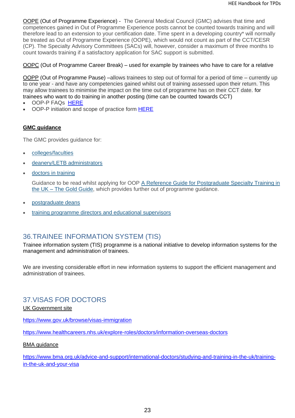OOPE (Out of Programme Experience) - The General Medical Council (GMC) advises that time and competences gained in Out of Programme Experience posts cannot be counted towards training and will therefore lead to an extension to your certification date. Time spent in a developing country\* will normally be treated as Out of Programme Experience (OOPE), which would not count as part of the CCT/CESR (CP). The Specialty Advisory Committees (SACs) will, however, consider a maximum of three months to count towards training if a satisfactory application for SAC support is submitted.

#### OOPC (Out of Programme Career Break) – used for example by trainees who have to care for a relative

OOPP (Out of Programme Pause) –allows trainees to step out of formal for a period of time – currently up to one year - and have any competencies gained whilst out of training assessed upon their return. This may allow trainees to minimise the impact on the time out of programme has on their CCT date. for trainees who want to do training in another posting (time can be counted towards CCT)

- OOP-P FAQs [HERE](https://lasepgmdesupport.hee.nhs.uk/support/solutions/7000038225)
- OOP-P initiation and scope of practice form [HERE](https://lasepgmdesupport.hee.nhs.uk/support/solutions/articles/7000051551-what-is-the-process-for-applying-for-and-returning-to-oopp-)

## **GMC guidance**

The GMC provides quidance for:

- [colleges/faculties](https://www.gmc-uk.org/education/standards-guidance-and-curricula/guidance/out-of-programme/information-for-colleges-and-faculties)
- [deanery/LETB administrators](https://www.gmc-uk.org/education/standards-guidance-and-curricula/guidance/out-of-programme/information-for-deanery-letb-administrators)
- [doctors in training](https://www.gmc-uk.org/education/standards-guidance-and-curricula/guidance/out-of-programme/out-of-programme-guidance-for-doctors-in-training)

Guidance to be read whilst applying for OOP [A Reference Guide for Postgraduate Specialty Training in](https://www.copmed.org.uk/gold-guide-7th-edition/the-gold-guide-7th-edition)  the UK – [The Gold Guide,](https://www.copmed.org.uk/gold-guide-7th-edition/the-gold-guide-7th-edition) which provides further out of programme guidance.

- [postgraduate deans](https://www.gmc-uk.org/education/standards-guidance-and-curricula/guidance/out-of-programme/information-for-postgraduate-deans)
- [training programme directors and educational supervisors](https://www.gmc-uk.org/education/standards-guidance-and-curricula/guidance/out-of-programme/information-for-educational-supervisors-and-training-programme-directors)

## 36.TRAINEE INFORMATION SYSTEM (TIS)

Trainee information system (TIS) programme is a national initiative to develop information systems for the management and administration of trainees.

We are investing considerable effort in new information systems to support the efficient management and administration of trainees.

## 37.VISAS FOR DOCTORS

UK Government site

<https://www.gov.uk/browse/visas-immigration>

<https://www.healthcareers.nhs.uk/explore-roles/doctors/information-overseas-doctors>

#### BMA guidance

[https://www.bma.org.uk/advice-and-support/international-doctors/studying-and-training-in-the-uk/training](https://www.bma.org.uk/advice-and-support/international-doctors/studying-and-training-in-the-uk/training-in-the-uk-and-your-visa)[in-the-uk-and-your-visa](https://www.bma.org.uk/advice-and-support/international-doctors/studying-and-training-in-the-uk/training-in-the-uk-and-your-visa)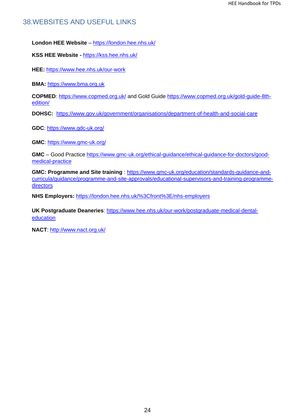## 38.WEBSITES AND USEFUL LINKS

**London HEE Website** – <https://london.hee.nhs.uk/>

**KSS HEE Website -** <https://kss.hee.nhs.uk/>

**HEE:** <https://www.hee.nhs.uk/our-work>

**BMA:** [https://www.bma.org.uk](https://www.bma.org.uk/)

**COPMED**:<https://www.copmed.org.uk/> and Gold Guide [https://www.copmed.org.uk/gold-guide-8th](https://www.copmed.org.uk/gold-guide-8th-edition/)[edition/](https://www.copmed.org.uk/gold-guide-8th-edition/)

**DOHSC:** <https://www.gov.uk/government/organisations/department-of-health-and-social-care>

**GDC**:<https://www.gdc-uk.org/>

**GMC**:<https://www.gmc-uk.org/>

**GMC** – Good Practice [https://www.gmc-uk.org/ethical-guidance/ethical-guidance-for-doctors/good](https://www.gmc-uk.org/ethical-guidance/ethical-guidance-for-doctors/good-medical-practice)[medical-practice](https://www.gmc-uk.org/ethical-guidance/ethical-guidance-for-doctors/good-medical-practice)

**GMC: Programme and Site training** : [https://www.gmc-uk.org/education/standards-guidance-and](https://www.gmc-uk.org/education/standards-guidance-and-curricula/guidance/programme-and-site-approvals/educational-supervisors-and-training-programme-directors)[curricula/guidance/programme-and-site-approvals/educational-supervisors-and-training-programme](https://www.gmc-uk.org/education/standards-guidance-and-curricula/guidance/programme-and-site-approvals/educational-supervisors-and-training-programme-directors)[directors](https://www.gmc-uk.org/education/standards-guidance-and-curricula/guidance/programme-and-site-approvals/educational-supervisors-and-training-programme-directors)

**NHS Employers:** <https://london.hee.nhs.uk/%3Cfront%3E/nhs-employers>

**UK Postgraduate Deaneries**: [https://www.hee.nhs.uk/our-work/postgraduate-medical-dental](https://www.hee.nhs.uk/our-work/postgraduate-medical-dental-education)[education](https://www.hee.nhs.uk/our-work/postgraduate-medical-dental-education)

**NACT**:<http://www.nact.org.uk/>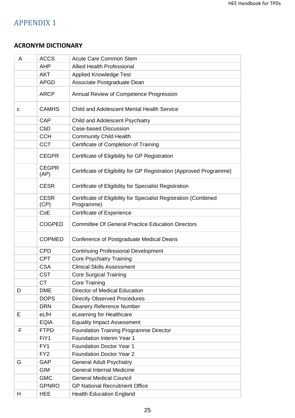# APPENDIX 1

## **ACRONYM DICTIONARY**

| Α | <b>ACCS</b>          | <b>Acute Care Common Stem</b>                                                  |  |  |  |  |  |  |
|---|----------------------|--------------------------------------------------------------------------------|--|--|--|--|--|--|
|   | <b>AHP</b>           | <b>Allied Health Professional</b>                                              |  |  |  |  |  |  |
|   | <b>AKT</b>           | <b>Applied Knowledge Test</b>                                                  |  |  |  |  |  |  |
|   | <b>APGD</b>          | Associate Postgraduate Dean                                                    |  |  |  |  |  |  |
|   | <b>ARCP</b>          | Annual Review of Competence Progression                                        |  |  |  |  |  |  |
| С | <b>CAMHS</b>         | Child and Adolescent Mental Health Service                                     |  |  |  |  |  |  |
|   | <b>CAP</b>           | Child and Adolescent Psychiatry                                                |  |  |  |  |  |  |
|   | CbD                  | <b>Case-based Discussion</b>                                                   |  |  |  |  |  |  |
|   | <b>CCH</b>           | <b>Community Child Health</b>                                                  |  |  |  |  |  |  |
|   | <b>CCT</b>           | Certificate of Completion of Training                                          |  |  |  |  |  |  |
|   | <b>CEGPR</b>         | Certificate of Eligibility for GP Registration                                 |  |  |  |  |  |  |
|   | <b>CEGPR</b><br>(AP) | Certificate of Eligibility for GP Registration (Approved Programme)            |  |  |  |  |  |  |
|   | <b>CESR</b>          | Certificate of Eligibility for Specialist Registration                         |  |  |  |  |  |  |
|   | <b>CESR</b><br>(CP)  | Certificate of Eligibility for Specialist Registration (Combined<br>Programme) |  |  |  |  |  |  |
|   | CoE                  | <b>Certificate of Experience</b>                                               |  |  |  |  |  |  |
|   | <b>COGPED</b>        | <b>Committee Of General Practice Education Directors</b>                       |  |  |  |  |  |  |
|   | <b>COPMED</b>        | Conference of Postgraduate Medical Deans                                       |  |  |  |  |  |  |
|   | <b>CPD</b>           | <b>Continuing Professional Development</b>                                     |  |  |  |  |  |  |
|   | <b>CPT</b>           | <b>Core Psychiatry Training</b>                                                |  |  |  |  |  |  |
|   | <b>CSA</b>           | <b>Clinical Skills Assessment</b>                                              |  |  |  |  |  |  |
|   | <b>CST</b>           | <b>Core Surgical Training</b>                                                  |  |  |  |  |  |  |
|   | <b>CT</b>            | <b>Core Training</b>                                                           |  |  |  |  |  |  |
| D | <b>DME</b>           | <b>Director of Medical Education</b>                                           |  |  |  |  |  |  |
|   | <b>DOPS</b>          | <b>Directly Observed Procedures</b>                                            |  |  |  |  |  |  |
|   | <b>DRN</b>           | <b>Deanery Reference Number</b>                                                |  |  |  |  |  |  |
| E | eLfH                 | eLearning for Healthcare                                                       |  |  |  |  |  |  |
|   | <b>EQIA</b>          | <b>Equality Impact Assessment</b>                                              |  |  |  |  |  |  |
| F | <b>FTPD</b>          | <b>Foundation Training Programme Director</b>                                  |  |  |  |  |  |  |
|   | FiY1                 | Foundation Interim Year 1                                                      |  |  |  |  |  |  |
|   | FY1                  | <b>Foundation Doctor Year 1</b>                                                |  |  |  |  |  |  |
|   | FY <sub>2</sub>      | <b>Foundation Doctor Year 2</b>                                                |  |  |  |  |  |  |
| G | GAP                  | <b>General Adult Psychiatry</b>                                                |  |  |  |  |  |  |
|   | <b>GIM</b>           | <b>General Internal Medicine</b>                                               |  |  |  |  |  |  |
|   | <b>GMC</b>           | <b>General Medical Council</b>                                                 |  |  |  |  |  |  |
|   | <b>GPNRO</b>         | <b>GP National Recruitment Office</b>                                          |  |  |  |  |  |  |
| н | <b>HEE</b>           | <b>Health Education England</b>                                                |  |  |  |  |  |  |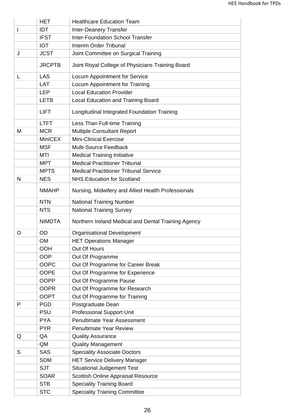|    | <b>HET</b>     | <b>Healthcare Education Team</b>                    |  |  |  |  |  |  |
|----|----------------|-----------------------------------------------------|--|--|--|--|--|--|
| I. | <b>IDT</b>     | <b>Inter-Deanery Transfer</b>                       |  |  |  |  |  |  |
|    | <b>IFST</b>    | <b>Inter-Foundation School Transfer</b>             |  |  |  |  |  |  |
|    | <b>IOT</b>     | <b>Interim Order Tribunal</b>                       |  |  |  |  |  |  |
| J  | <b>JCST</b>    | Joint Committee on Surgical Training                |  |  |  |  |  |  |
|    | <b>JRCPTB</b>  | Joint Royal College of Physicians Training Board    |  |  |  |  |  |  |
| L  | LAS            | Locum Appointment for Service                       |  |  |  |  |  |  |
|    | LAT            | Locum Appointment for Training                      |  |  |  |  |  |  |
|    | <b>LEP</b>     | <b>Local Education Provider</b>                     |  |  |  |  |  |  |
|    | <b>LETB</b>    | <b>Local Education and Training Board</b>           |  |  |  |  |  |  |
|    | <b>LIFT</b>    | Longitudinal Integrated Foundation Training         |  |  |  |  |  |  |
|    | <b>LTFT</b>    | Less Than Full-time Training                        |  |  |  |  |  |  |
| M  | <b>MCR</b>     | <b>Multiple Consultant Report</b>                   |  |  |  |  |  |  |
|    | <b>MiniCEX</b> | <b>Mini-Clinical Exercise</b>                       |  |  |  |  |  |  |
|    | <b>MSF</b>     | <b>Multi-Source Feedback</b>                        |  |  |  |  |  |  |
|    | MTI            | <b>Medical Training Initiative</b>                  |  |  |  |  |  |  |
|    | <b>MPT</b>     | <b>Medical Practitioner Tribunal</b>                |  |  |  |  |  |  |
|    | <b>MPTS</b>    | <b>Medical Practitioner Tribunal Service</b>        |  |  |  |  |  |  |
| N  | <b>NES</b>     | <b>NHS Education for Scotland</b>                   |  |  |  |  |  |  |
|    | <b>NMAHP</b>   | Nursing, Midwifery and Allied Health Professionals  |  |  |  |  |  |  |
|    | <b>NTN</b>     | <b>National Training Number</b>                     |  |  |  |  |  |  |
|    | <b>NTS</b>     | <b>National Training Survey</b>                     |  |  |  |  |  |  |
|    | <b>NIMDTA</b>  | Northern Ireland Medical and Dental Training Agency |  |  |  |  |  |  |
| O  | <b>OD</b>      | <b>Organisational Development</b>                   |  |  |  |  |  |  |
|    | OM             | <b>HET Operations Manager</b>                       |  |  |  |  |  |  |
|    | <b>OOH</b>     | Out Of Hours                                        |  |  |  |  |  |  |
|    | <b>OOP</b>     | Out Of Programme                                    |  |  |  |  |  |  |
|    | <b>OOPC</b>    | Out Of Programme for Career Break                   |  |  |  |  |  |  |
|    | <b>OOPE</b>    | Out Of Programme for Experience                     |  |  |  |  |  |  |
|    | <b>OOPP</b>    | Out Of Programme Pause                              |  |  |  |  |  |  |
|    | <b>OOPR</b>    | Out Of Programme for Research                       |  |  |  |  |  |  |
|    | <b>OOPT</b>    | Out Of Programme for Training                       |  |  |  |  |  |  |
| P  | <b>PGD</b>     | Postgraduate Dean                                   |  |  |  |  |  |  |
|    | <b>PSU</b>     | <b>Professional Support Unit</b>                    |  |  |  |  |  |  |
|    | <b>PYA</b>     | <b>Penultimate Year Assessment</b>                  |  |  |  |  |  |  |
|    | <b>PYR</b>     | <b>Penultimate Year Review</b>                      |  |  |  |  |  |  |
| Q  | QA             | <b>Quality Assurance</b>                            |  |  |  |  |  |  |
|    | QM             | <b>Quality Management</b>                           |  |  |  |  |  |  |
| S  | <b>SAS</b>     | <b>Speciality Associate Doctors</b>                 |  |  |  |  |  |  |
|    | <b>SDM</b>     | <b>HET Service Delivery Manager</b>                 |  |  |  |  |  |  |
|    | <b>SJT</b>     | <b>Situational Judgement Test</b>                   |  |  |  |  |  |  |
|    | <b>SOAR</b>    | Scottish Online Appraisal Resource                  |  |  |  |  |  |  |
|    | <b>STB</b>     | <b>Speciality Training Board</b>                    |  |  |  |  |  |  |
|    | <b>STC</b>     | <b>Speciality Training Committee</b>                |  |  |  |  |  |  |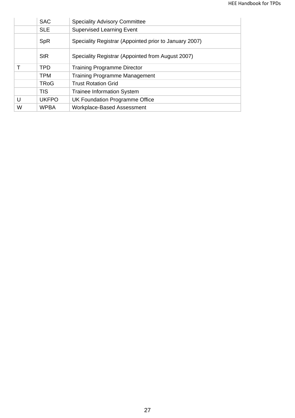|   | <b>SAC</b>   | <b>Speciality Advisory Committee</b>                   |
|---|--------------|--------------------------------------------------------|
|   | <b>SLE</b>   | <b>Supervised Learning Event</b>                       |
|   | <b>SpR</b>   | Speciality Registrar (Appointed prior to January 2007) |
|   | <b>StR</b>   | Speciality Registrar (Appointed from August 2007)      |
|   | <b>TPD</b>   | <b>Training Programme Director</b>                     |
|   | <b>TPM</b>   | <b>Training Programme Management</b>                   |
|   | <b>TRoG</b>  | <b>Trust Rotation Grid</b>                             |
|   | <b>TIS</b>   | <b>Trainee Information System</b>                      |
| U | <b>UKFPO</b> | UK Foundation Programme Office                         |
| W | <b>WPBA</b>  | <b>Workplace-Based Assessment</b>                      |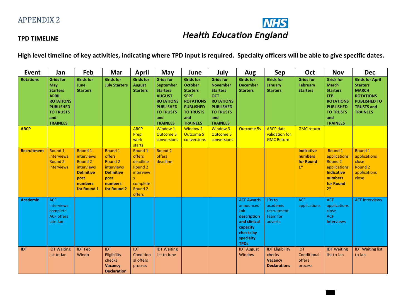

## **TPD TIMELINE**

**High level timeline of key activities, indicating where TPD input is required. Specialty officers will be able to give specific dates.**

| <b>Event</b>     | Jan                                                                                                                                                     | Feb                                                                                                                 | Mar                                                                                                      | <b>April</b>                                                                                | May                                                                                                                                                            | June                                                                                                                                                       | July                                                                                                                                                       | Aug                                                                                                                              | Sep                                                                       | Oct                                                      | <b>Nov</b>                                                                                                                                              | <b>Dec</b>                                                                                                                                   |
|------------------|---------------------------------------------------------------------------------------------------------------------------------------------------------|---------------------------------------------------------------------------------------------------------------------|----------------------------------------------------------------------------------------------------------|---------------------------------------------------------------------------------------------|----------------------------------------------------------------------------------------------------------------------------------------------------------------|------------------------------------------------------------------------------------------------------------------------------------------------------------|------------------------------------------------------------------------------------------------------------------------------------------------------------|----------------------------------------------------------------------------------------------------------------------------------|---------------------------------------------------------------------------|----------------------------------------------------------|---------------------------------------------------------------------------------------------------------------------------------------------------------|----------------------------------------------------------------------------------------------------------------------------------------------|
| <b>Rotations</b> | <b>Grids for</b><br><b>May</b><br><b>Starters</b><br><b>APRIL</b><br><b>ROTATIONS</b><br><b>PUBLISHED</b><br><b>TO TRUSTS</b><br>and<br><b>TRAINEES</b> | <b>Grids for</b><br>June<br><b>Starters</b>                                                                         | <b>Grids for</b><br><b>July Starters</b>                                                                 | <b>Grids for</b><br><b>August</b><br><b>Starters</b>                                        | <b>Grids for</b><br><b>September</b><br><b>Starters</b><br><b>AUGUST</b><br><b>ROTATIONS</b><br><b>PUBLISHED</b><br><b>TO TRUSTS</b><br>and<br><b>TRAINEES</b> | <b>Grids for</b><br><b>October</b><br><b>Starters</b><br><b>SEPT</b><br><b>ROTATIONS</b><br><b>PUBLISHED</b><br><b>TO TRUSTS</b><br>and<br><b>TRAINEES</b> | <b>Grids for</b><br><b>November</b><br><b>Starters</b><br><b>OCT</b><br><b>ROTATIONS</b><br><b>PUBLISHED</b><br><b>TO TRUSTS</b><br>and<br><b>TRAINEES</b> | <b>Grids for</b><br><b>December</b><br><b>Starters</b>                                                                           | <b>Grids for</b><br><b>January</b><br><b>Starters</b>                     | <b>Grids for</b><br><b>February</b><br><b>Starters</b>   | <b>Grids for</b><br><b>March</b><br><b>Starters</b><br><b>FEB</b><br><b>ROTATIONS</b><br><b>PUBLISHED</b><br><b>TO TRUSTS</b><br>and<br><b>TRAINEES</b> | <b>Grids for April</b><br><b>Starters</b><br><b>MARCH</b><br><b>ROTATIONS</b><br><b>PUBLISHED TO</b><br><b>TRUSTS and</b><br><b>TRAINEES</b> |
| <b>ARCP</b>      |                                                                                                                                                         |                                                                                                                     |                                                                                                          | <b>ARCP</b><br>Prep<br>work<br>starts                                                       | <b>Window 1</b><br><b>Outcome 5</b><br>conversions                                                                                                             | <b>Window 2</b><br><b>Outcome 5</b><br>conversions                                                                                                         | <b>Window 3</b><br><b>Outcome 5</b><br>conversions                                                                                                         | <b>Outcome 5s</b>                                                                                                                | <b>ARCP</b> data<br>validation for<br><b>GMC Return</b>                   | <b>GMC return</b>                                        |                                                                                                                                                         |                                                                                                                                              |
| Recruitment      | Round 1<br>interviews<br><b>Round 2</b><br>interviews                                                                                                   | Round 1<br>interviews<br><b>Round 2</b><br>interviews<br><b>Definitive</b><br>post<br><b>numbers</b><br>for Round 1 | Round 1<br>offers<br><b>Round 2</b><br>interviews<br><b>Definitive</b><br>post<br>numbers<br>for Round 2 | Round 1<br>offers<br>deadline<br>Round 2<br>interview<br>S<br>complete<br>Round 2<br>offers | Round 2<br>offers<br>deadline                                                                                                                                  |                                                                                                                                                            |                                                                                                                                                            |                                                                                                                                  |                                                                           | <b>Indicative</b><br><b>numbers</b><br>for Round<br>$1*$ | Round 1<br>applications<br>Round 2<br>applications<br><b>Indicative</b><br><b>numbers</b><br>for Round<br>$2*$                                          | Round 1<br>applications<br>close<br><b>Round 2</b><br>applications<br>close                                                                  |
| <b>Academic</b>  | <b>ACF</b><br>interviews<br>complete<br><b>ACF offers</b><br>late Jan                                                                                   |                                                                                                                     |                                                                                                          |                                                                                             |                                                                                                                                                                |                                                                                                                                                            |                                                                                                                                                            | <b>ACF Awards</b><br>announced<br><b>Job</b><br>description<br>and clinical<br>capacity<br>checks by<br>specialty<br><b>TPDs</b> | JDs to<br>academic<br>recruitment<br>team for<br>adverts                  | <b>ACF</b><br>applications                               | <b>ACF</b><br>applications<br>close<br><b>ACF</b><br><b>Interviews</b>                                                                                  | <b>ACF interviews</b>                                                                                                                        |
| <b>IDT</b>       | <b>IDT Waiting</b><br>list to Jan                                                                                                                       | <b>IDT Feb</b><br>Windo                                                                                             | <b>IDT</b><br>Eligibility<br>checks<br><b>Vacancy</b><br><b>Declaration</b>                              | IDT<br>Condition<br>al offers<br>process                                                    | <b>IDT Waiting</b><br>list to June                                                                                                                             |                                                                                                                                                            |                                                                                                                                                            | <b>IDT August</b><br>Window                                                                                                      | <b>IDT Eligibility</b><br>checks<br><b>Vacancy</b><br><b>Declarations</b> | <b>IDT</b><br>Conditional<br>offers<br>process           | <b>IDT Waiting</b><br>list to Jan                                                                                                                       | <b>IDT Waiting list</b><br>to Jan                                                                                                            |